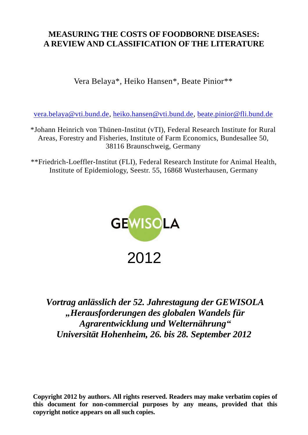# **MEASURING THE COSTS OF FOODBORNE DISEASES: A REVIEW AND CLASSIFICATION OF THE LITERATURE**

Vera Belaya\*, Heiko Hansen\*, Beate Pinior\*\*

[vera.belaya@vti.bund.de,](mailto:vera.belaya@vti.bund.de) [heiko.hansen@vti.bund.de,](mailto:heiko.hansen@vti.bund.de) [beate.pinior@fli.bund.de](mailto:beate.pinior@fli.bund.de)

\*Johann Heinrich von Thünen-Institut (vTI), Federal Research Institute for Rural Areas, Forestry and Fisheries, Institute of Farm Economics, Bundesallee 50, 38116 Braunschweig, Germany

\*\*Friedrich-Loeffler-Institut (FLI), Federal Research Institute for Animal Health, Institute of Epidemiology, Seestr. 55, 16868 Wusterhausen, Germany



*Vortrag anlässlich der 52. Jahrestagung der GEWISOLA "Herausforderungen des globalen Wandels für Agrarentwicklung und Welternährung" Universität Hohenheim, 26. bis 28. September 2012*

**Copyright 2012 by authors. All rights reserved. Readers may make verbatim copies of this document for non-commercial purposes by any means, provided that this copyright notice appears on all such copies.**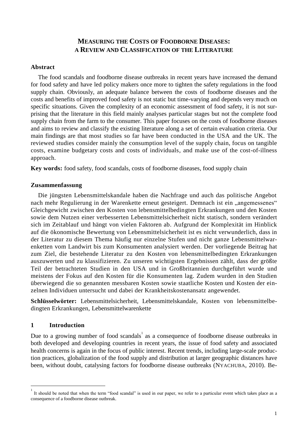# **MEASURING THE COSTS OF FOODBORNE DISEASES: A REVIEW AND CLASSIFICATION OF THE LITERATURE**

## **Abstract**

The food scandals and foodborne disease outbreaks in recent years have increased the demand for food safety and have led policy makers once more to tighten the safety regulations in the food supply chain. Obviously, an adequate balance between the costs of foodborne diseases and the costs and benefits of improved food safety is not static but time-varying and depends very much on specific situations. Given the complexity of an economic assessment of food safety, it is not surprising that the literature in this field mainly analyses particular stages but not the complete food supply chain from the farm to the consumer. This paper focuses on the costs of foodborne diseases and aims to review and classify the existing literature along a set of certain evaluation criteria. Our main findings are that most studies so far have been conducted in the USA and the UK. The reviewed studies consider mainly the consumption level of the supply chain, focus on tangible costs, examine budgetary costs and costs of individuals, and make use of the cost-of-illness approach.

**Key words:** food safety, food scandals, costs of foodborne diseases, food supply chain

#### **Zusammenfassung**

Die jüngsten Lebensmittelskandale haben die Nachfrage und auch das politische Angebot nach mehr Regulierung in der Warenkette erneut gesteigert. Demnach ist ein "angemessenes" Gleichgewicht zwischen den Kosten von lebensmittelbedingten Erkrankungen und den Kosten sowie dem Nutzen einer verbesserten Lebensmittelsicherheit nicht statisch, sondern verändert sich im Zeitablauf und hängt von vielen Faktoren ab. Aufgrund der Komplexität im Hinblick auf die ökonomische Bewertung von Lebensmittelsicherheit ist es nicht verwunderlich, dass in der Literatur zu diesem Thema häufig nur einzelne Stufen und nicht ganze Lebensmittelwarenketten vom Landwirt bis zum Konsumenten analysiert werden. Der vorliegende Beitrag hat zum Ziel, die bestehende Literatur zu den Kosten von lebensmittelbedingten Erkrankungen auszuwerten und zu klassifizieren. Zu unseren wichtigsten Ergebnissen zählt, dass der größte Teil der betrachteten Studien in den USA und in Großbritannien durchgeführt wurde und meistens der Fokus auf den Kosten für die Konsumenten lag. Zudem wurden in den Studien überwiegend die so genannten messbaren Kosten sowie staatliche Kosten und Kosten der einzelnen Individuen untersucht und dabei der Krankheitskostenansatz angewendet.

**Schlüsselwörter:** Lebensmittelsicherheit, Lebensmittelskandale, Kosten von lebensmittelbedingten Erkrankungen, Lebensmittelwarenkette

## **1 Introduction**

 $\overline{a}$ 

Due to a growing number of food scandals  $1$  as a consequence of foodborne disease outbreaks in both developed and developing countries in recent years, the issue of food safety and associated health concerns is again in the focus of public interest. Recent trends, including large-scale production practices, globalization of the food supply and distribution at larger geographic distances have been, without doubt, catalysing factors for foodborne disease outbreaks (NYACHUBA, 2010). Be-

<sup>1</sup> It should be noted that when the term "food scandal" is used in our paper, we refer to a particular event which takes place as a consequence of a foodborne disease outbreak.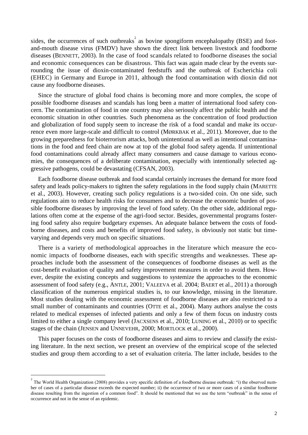sides, the occurrences of such outbreaks<sup>2</sup> as bovine spongiform encephalopathy (BSE) and footand-mouth disease virus (FMDV) have shown the direct link between livestock and foodborne diseases (BENNETT, 2003). In the case of food scandals related to foodborne diseases the social and economic consequences can be disastrous. This fact was again made clear by the events surrounding the issue of dioxin-contaminated feedstuffs and the outbreak of Escherichia coli (EHEC) in Germany and Europe in 2011, although the food contamination with dioxin did not cause any foodborne diseases.

Since the structure of global food chains is becoming more and more complex, the scope of possible foodborne diseases and scandals has long been a matter of international food safety concern. The contamination of food in one country may also seriously affect the public health and the economic situation in other countries. Such phenomena as the concentration of food production and globalization of food supply seem to increase the risk of a food scandal and make its occurrence even more large-scale and difficult to control (MØRKBAK et al., 2011). Moreover, due to the growing preparedness for bioterrorism attacks, both unintentional as well as intentional contaminations in the food and feed chain are now at top of the global food safety agenda. If unintentional food contaminations could already affect many consumers and cause damage to various economies, the consequences of a deliberate contamination, especially with intentionally selected aggressive pathogens, could be devastating (CFSAN, 2003).

Each foodborne disease outbreak and food scandal certainly increases the demand for more food safety and leads policy-makers to tighten the safety regulations in the food supply chain (MARETTE et al., 2003). However, creating such policy regulations is a two-sided coin. On one side, such regulations aim to reduce health risks for consumers and to decrease the economic burden of possible foodborne diseases by improving the level of food safety. On the other side, additional regulations often come at the expense of the agri-food sector. Besides, governmental programs fostering food safety also require budgetary expenses. An adequate balance between the costs of foodborne diseases, and costs and benefits of improved food safety, is obviously not static but timevarying and depends very much on specific situations.

There is a variety of methodological approaches in the literature which measure the economic impacts of foodborne diseases, each with specific strengths and weaknesses. These approaches include both the assessment of the consequences of foodborne diseases as well as the cost-benefit evaluation of quality and safety improvement measures in order to avoid them. However, despite the existing concepts and suggestions to systemize the approaches to the economic assessment of food safety (e.g., ANTLE, 2001; VALEEVA et al. 2004; BAERT et al., 2011) a thorough classification of the numerous empirical studies is, to our knowledge, missing in the literature. Most studies dealing with the economic assessment of foodborne diseases are also restricted to a small number of contaminants and countries (OTTE et al., 2004). Many authors analyse the costs related to medical expenses of infected patients and only a few of them focus on industry costs limited to either a single company level (JACXSENS et al., 2010; LUNING et al., 2010) or to specific stages of the chain (JENSEN and UNNEVEHR, 2000; MORTLOCK et al., 2000).

This paper focuses on the costs of foodborne diseases and aims to review and classify the existing literature. In the next section, we present an overview of the empirical scope of the selected studies and group them according to a set of evaluation criteria. The latter include, besides to the

 $\overline{a}$ 

<sup>2</sup> The World Health Organization (2008) provides a very specific definition of a foodborne disease outbreak: "i) the observed number of cases of a particular disease exceeds the expected number; ii) the occurrence of two or more cases of a similar foodborne disease resulting from the ingestion of a common food". It should be mentioned that we use the term "outbreak" in the sense of occurrence and not in the sense of an epidemic.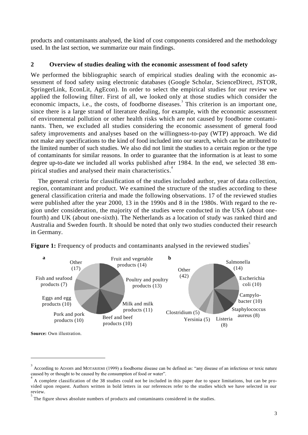products and contaminants analysed, the kind of cost components considered and the methodology used. In the last section, we summarize our main findings.

# **2 Overview of studies dealing with the economic assessment of food safety**

We performed the bibliographic search of empirical studies dealing with the economic assessment of food safety using electronic databases [\(Google Scholar,](http://scholar.google.de/) [ScienceDirect,](http://www.google.de/url?sa=t&rct=j&q=sciendirect&source=web&cd=1&ved=0CC0QFjAA&url=http%3A%2F%2Fwww.sciencedirect.com%2F&ei=VIvgTqycFJSnsgaO44XaCA&usg=AFQjCNH96s-J4QGd04OEk_NaX8VlFAR2uw&cad=rja) JSTOR, SpringerLink, EconLit, AgEcon). In order to select the empirical studies for our review we applied the following filter. First of all, we looked only at those studies which consider the economic impacts, i.e., the costs, of foodborne diseases.<sup>3</sup> This criterion is an important one, since there is a large strand of literature dealing, for example, with the economic assessment of environmental pollution or other health risks which are not caused by foodborne contaminants. Then, we excluded all studies considering the economic assessment of general food safety improvements and analyses based on the willingness-to-pay (WTP) approach. We did not make any specifications to the kind of food included into our search, which can be attributed to the limited number of such studies. We also did not limit the studies to a certain region or the type of contaminants for similar reasons. In order to guarantee that the information is at least to some degree up-to-date we included all works published after 1984. In the end, we selected 38 empirical studies and analysed their main characteristics.<sup>4</sup>

The general criteria for classification of the studies included author, year of data collection, region, contaminant and product. We examined the structure of the studies according to these general classification criteria and made the following observations. 17 of the reviewed studies were published after the year 2000, 13 in the 1990s and 8 in the 1980s. With regard to the region under consideration, the majority of the studies were conducted in the USA (about onefourth) and UK (about one-sixth). The Netherlands as a location of study was ranked third and Australia and Sweden fourth. It should be noted that only two studies conducted their research in Germany.



Figure 1: Frequency of products and contaminants analysed in the reviewed studies<sup>5</sup>

 $\overline{a}$ 

<sup>3</sup> According to ADAMS and MOTARJEMI (1999) a foodborne disease can be defined as: "any disease of an infectious or toxic nature caused by or thought to be caused by the consumption of food or water".

<sup>4</sup> A complete classification of the 38 studies could not be included in this paper due to space limitations, but can be provided upon request. Authors written in bold letters in our references refer to the studies which we have selected in our review.

<sup>5</sup> The figure shows absolute numbers of products and contaminants considered in the studies.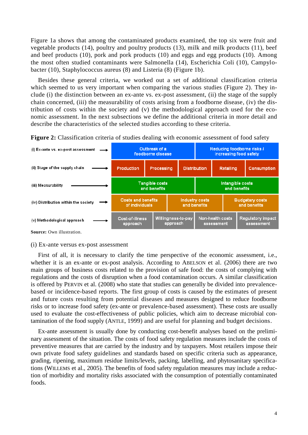Figure 1a shows that among the contaminated products examined, the top six were fruit and vegetable products (14), poultry and poultry products (13), milk and milk products (11), beef and beef products (10), pork and pork products (10) and eggs and egg products (10). Among the most often studied contaminants were Salmonella (14), Escherichia Coli (10), Campylobacter (10), Staphylococcus aureus (8) and Listeria (8) (Figure 1b).

Besides these general criteria, we worked out a set of additional classification criteria which seemed to us very important when comparing the various studies (Figure 2). They include (i) the distinction between an ex-ante vs. ex-post assessment, (ii) the stage of the supply chain concerned, (iii) the measurability of costs arising from a foodborne disease, (iv) the distribution of costs within the society and (v) the methodological approach used for the economic assessment. In the next subsections we define the additional criteria in more detail and describe the characteristics of the selected studies according to these criteria.

Reducing foodborne risks / (i) Ex-ante vs. ex-post assessment Outbreak of a foodborne disease increasing food safety (ii) Stage of the supply chain Production **Processing Distribution** Retailing Consumption **Tangible costs** Intangible costs (iii) Measurability and benefits and benefits **Costs and benefits Budgetary costs Industry costs** (iv) Distribution within the society of individuals and benefits and benefits Willingness-to-pay Non-health costs Cost-of-illness Regulatory impact (v) Methodological approach approach approach assessment assessment **Source:** Own illustration.

**Figure 2:** Classification criteria of studies dealing with economic assessment of food safety

#### (i) Ex-ante versus ex-post assessment

First of all, it is necessary to clarify the time perspective of the economic assessment, i.e., whether it is an ex-ante or ex-post analysis. According to ABELSON et al. (2006) there are two main groups of business costs related to the provision of safe food: the costs of complying with regulations and the costs of disruption when a food contamination occurs. A similar classification is offered by PERVIN et al. (2008) who state that studies can generally be divided into prevalencebased or incidence-based reports. The first group of costs is caused by the estimates of present and future costs resulting from potential diseases and measures designed to reduce foodborne risks or to increase food safety (ex-ante or prevalence-based assessment). These costs are usually used to evaluate the cost-effectiveness of public policies, which aim to decrease microbial contamination of the food supply (ANTLE, 1999) and are useful for planning and budget decisions.

Ex-ante assessment is usually done by conducting cost-benefit analyses based on the preliminary assessment of the situation. The costs of food safety regulation measures include the costs of preventive measures that are carried by the industry and by taxpayers. Most retailers impose their own private food safety guidelines and standards based on specific criteria such as appearance, grading, ripening, maximum residue limits/levels, packing, labelling, and phytosanitary specifications (WILLEMS et al., 2005). The benefits of food safety regulation measures may include a reduction of morbidity and mortality risks associated with the consumption of potentially contaminated foods.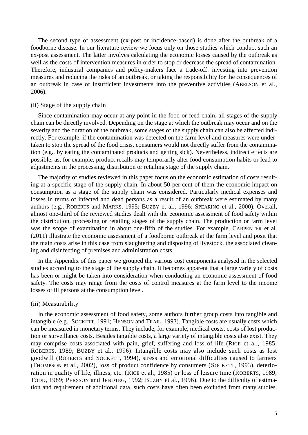The second type of assessment (ex-post or incidence-based) is done after the outbreak of a foodborne disease. In our literature review we focus only on those studies which conduct such an ex-post assessment. The latter involves calculating the economic losses caused by the outbreak as well as the costs of intervention measures in order to stop or decrease the spread of contamination. Therefore, industrial companies and policy-makers face a trade-off: investing into prevention measures and reducing the risks of an outbreak, or taking the responsibility for the consequences of an outbreak in case of insufficient investments into the preventive activities (ABELSON et al., 2006).

#### (ii) Stage of the supply chain

Since contamination may occur at any point in the food or feed chain, all stages of the supply chain can be directly involved. Depending on the stage at which the outbreak may occur and on the severity and the duration of the outbreak, some stages of the supply chain can also be affected indirectly. For example, if the contamination was detected on the farm level and measures were undertaken to stop the spread of the food crisis, consumers would not directly suffer from the contamination (e.g., by eating the contaminated products and getting sick). Nevertheless, indirect effects are possible, as, for example, product recalls may temporarily alter food consumption habits or lead to adjustments in the processing, distribution or retailing stage of the supply chain.

The majority of studies reviewed in this paper focus on the economic estimation of costs resulting at a specific stage of the supply chain. In about 50 per cent of them the economic impact on consumption as a stage of the supply chain was considered. Particularly medical expenses and losses in terms of infected and dead persons as a result of an outbreak were estimated by many authors (e.g., ROBERTS and MARKS, 1995; BUZBY et al., 1996; SPEARING et al., 2000). Overall, almost one-third of the reviewed studies dealt with the economic assessment of food safety within the distribution, processing or retailing stages of the supply chain. The production or farm level was the scope of examination in about one-fifth of the studies. For example, CARPENTER et al. (2011) illustrate the economic assessment of a foodborne outbreak at the farm level and posit that the main costs arise in this case from slaughtering and disposing of livestock, the associated cleaning and disinfecting of premises and administration costs.

In the Appendix of this paper we grouped the various cost components analysed in the selected studies according to the stage of the supply chain. It becomes apparent that a large variety of costs has been or might be taken into consideration when conducting an economic assessment of food safety. The costs may range from the costs of control measures at the farm level to the income losses of ill persons at the consumption level.

#### (iii) Measurability

In the economic assessment of food safety, some authors further group costs into tangible and intangible (e.g., SOCKETT, 1991; HENSON and TRAIL, 1993). Tangible costs are usually costs which can be measured in monetary terms. They include, for example, medical costs, costs of lost production or surveillance costs. Besides tangible costs, a large variety of intangible costs also exist. They may comprise costs associated with pain, grief, suffering and loss of life (RICE et al., 1985; ROBERTS, 1989; BUZBY et al., 1996). Intangible costs may also include such costs as lost goodwill (ROBERTS and SOCKETT, 1994), stress and emotional difficulties caused to farmers (THOMPSON et al., 2002), loss of product confidence by consumers (SOCKETT, 1993), deterioration in quality of life, illness, etc. (RICE et al., 1985) or loss of leisure time (ROBERTS, 1989; TODD, 1989; PERSSON and JENDTEG, 1992; BUZBY et al., 1996). Due to the difficulty of estimation and requirement of additional data, such costs have often been excluded from many studies.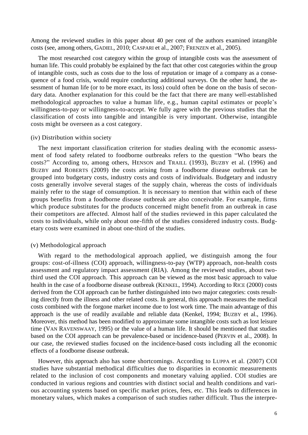Among the reviewed studies in this paper about 40 per cent of the authors examined intangible costs (see, among others, GADIEL, 2010; CASPARI et al., 2007; FRENZEN et al., 2005).

The most researched cost category within the group of intangible costs was the assessment of human life. This could probably be explained by the fact that other cost categories within the group of intangible costs, such as costs due to the loss of reputation or image of a company as a consequence of a food crisis, would require conducting additional surveys. On the other hand, the assessment of human life (or to be more exact, its loss) could often be done on the basis of secondary data. Another explanation for this could be the fact that there are many well-established methodological approaches to value a human life, e.g., human capital estimates or people"s willingness-to-pay or willingness-to-accept. We fully agree with the previous studies that the classification of costs into tangible and intangible is very important. Otherwise, intangible costs might be overseen as a cost category.

#### (iv) Distribution within society

The next important classification criterion for studies dealing with the economic assessment of food safety related to foodborne outbreaks refers to the question "Who bears the costs?" According to, among others, HENSON and TRAILL (1993), BUZBY et al. (1996) and BUZBY and ROBERTS (2009) the costs arising from a foodborne disease outbreak can be grouped into budgetary costs, industry costs and costs of individuals. Budgetary and industry costs generally involve several stages of the supply chain, whereas the costs of individuals mainly refer to the stage of consumption. It is necessary to mention that within each of these groups benefits from a foodborne disease outbreak are also conceivable. For example, firms which produce substitutes for the products concerned might benefit from an outbreak in case their competitors are affected. Almost half of the studies reviewed in this paper calculated the costs to individuals, while only about one-fifth of the studies considered industry costs. Budgetary costs were examined in about one-third of the studies.

#### (v) Methodological approach

With regard to the methodological approach applied, we distinguish among the four groups: cost-of-illness (COI) approach, willingness-to-pay (WTP) approach, non-health costs assessment and regulatory impact assessment (RIA). Among the reviewed studies, about twothird used the COI approach. This approach can be viewed as the most basic approach to value health in the case of a foodborne disease outbreak (KENKEL, 1994). According to RICE (2000) costs derived from the COI approach can be further distinguished into two major categories: costs resulting directly from the illness and other related costs. In general, this approach measures the medical costs combined with the forgone market income due to lost work time. The main advantage of this approach is the use of readily available and reliable data (Kenkel, 1994; BUZBY et al., 1996). Moreover, this method has been modified to approximate some intangible costs such as lost leisure time (VAN RAVENSWAAY, 1995) or the value of a human life. It should be mentioned that studies based on the COI approach can be prevalence-based or incidence-based (PERVIN et al., 2008). In our case, the reviewed studies focused on the incidence-based costs including all the economic effects of a foodborne disease outbreak.

However, this approach also has some shortcomings. According to LUPPA et al. (2007) COI studies have substantial methodical difficulties due to disparities in economic measurements related to the inclusion of cost components and monetary valuing applied. COI studies are conducted in various regions and countries with distinct social and health conditions and various accounting systems based on specific market prices, fees, etc. This leads to differences in monetary values, which makes a comparison of such studies rather difficult. Thus the interpre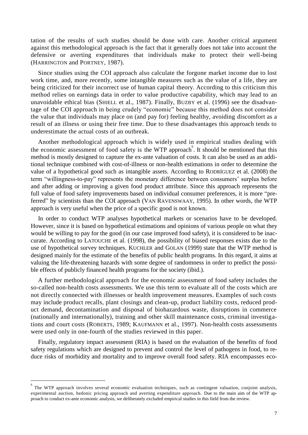tation of the results of such studies should be done with care. Another critical argument against this methodological approach is the fact that it generally does not take into account the defensive or averting expenditures that individuals make to protect their well-being (HARRINGTON and PORTNEY, 1987).

Since studies using the COI approach also calculate the forgone market income due to lost work time, and, more recently, some intangible measures such as the value of a life, they are being criticized for their incorrect use of human capital theory. According to this criticism this method relies on earnings data in order to value productive capability, which may lead to an unavoidable ethical bias (SHIELL et al., 1987). Finally, BUZBY et al. (1996) see the disadvantage of the COI approach in being crudely "economic" because this method does not consider the value that individuals may place on (and pay for) feeling healthy, avoiding discomfort as a result of an illness or using their free time. Due to these disadvantages this approach tends to underestimate the actual costs of an outbreak.

Another methodological approach which is widely used in empirical studies dealing with the economic assessment of food safety is the WTP approach. It should be mentioned that this method is mostly designed to capture the ex-ante valuation of costs. It can also be used as an additional technique combined with cost-of-illness or non-health estimations in order to determine the value of a hypothetical good such as intangible assets. According to RODRÍGUEZ et al. (2008) the term "willingness-to-pay" represents the monetary difference between consumers" surplus before and after adding or improving a given food product attribute. Since this approach represents the full value of food safety improvements based on individual consumer preferences, it is more "preferred" by scientists than the COI approach (VAN RAVENSWAAY, 1995). In other words, the WTP approach is very useful when the price of a specific good is not known.

In order to conduct WTP analyses hypothetical markets or scenarios have to be developed. However, since it is based on hypothetical estimations and opinions of various people on what they would be willing to pay for the good (in our case improved food safety), it is considered to be inaccurate. According to LATOUCHE et al. (1998), the possibility of biased responses exists due to the use of hypothetical survey techniques. KUCHLER and GOLAN (1999) state that the WTP method is designed mainly for the estimate of the benefits of public health programs. In this regard, it aims at valuing the life-threatening hazards with some degree of randomness in order to predict the possible effects of publicly financed health programs for the society (ibid.).

A further methodological approach for the economic assessment of food safety includes the so-called non-health costs assessments. We use this term to evaluate all of the costs which are not directly connected with illnesses or health improvement measures. Examples of such costs may include product recalls, plant closings and clean-up, product liability costs, reduced product demand, decontamination and disposal of biohazardous waste, disruptions in commerce (nationally and internationally), training and other skill maintenance costs, criminal investigations and court costs (ROBERTS, 1989; KAUFMANN et al., 1997). Non-health costs assessments were used only in one-fourth of the studies reviewed in this paper.

Finally, regulatory impact assessment (RIA) is based on the evaluation of the benefits of food safety regulations which are designed to prevent and control the level of pathogens in food, to reduce risks of morbidity and mortality and to improve overall food safety. RIA encompasses eco-

 $\overline{a}$ 

<sup>6</sup> The WTP approach involves several economic evaluation techniques, such as contingent valuation, conjoint analysis, experimental auction, hedonic pricing approach and averting expenditure approach. Due to the main aim of the WTP approach to conduct ex-ante economic analysis, we deliberately excluded empirical studies in this field from the review.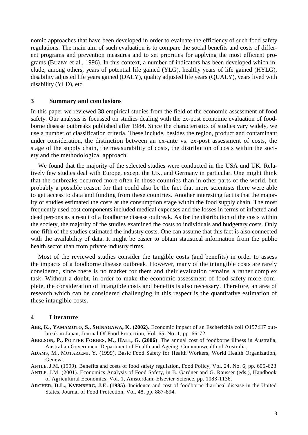nomic approaches that have been developed in order to evaluate the efficiency of such food safety regulations. The main aim of such evaluation is to compare the social benefits and costs of different programs and prevention measures and to set priorities for applying the most efficient programs (BUZBY et al., 1996). In this context, a number of indicators has been developed which include, among others, years of potential life gained (YLG), healthy years of life gained (HYLG), disability adjusted life years gained (DALY), quality adjusted life years (QUALY), years lived with disability (YLD), etc.

## **3 Summary and conclusions**

In this paper we reviewed 38 empirical studies from the field of the economic assessment of food safety. Our analysis is focussed on studies dealing with the ex-post economic evaluation of foodborne disease outbreaks published after 1984. Since the characteristics of studies vary widely, we use a number of classification criteria. These include, besides the region, product and contaminant under consideration, the distinction between an ex-ante vs. ex-post assessment of costs, the stage of the supply chain, the measurability of costs, the distribution of costs within the society and the methodological approach.

We found that the majority of the selected studies were conducted in the USA und UK. Relatively few studies deal with Europe, except the UK, and Germany in particular. One might think that the outbreaks occurred more often in those countries than in other parts of the world, but probably a possible reason for that could also be the fact that more scientists there were able to get access to data and funding from these countries. Another interesting fact is that the majority of studies estimated the costs at the consumption stage within the food supply chain. The most frequently used cost components included medical expenses and the losses in terms of infected and dead persons as a result of a foodborne disease outbreak. As for the distribution of the costs within the society, the majority of the studies examined the costs to individuals and budgetary costs. Only one-fifth of the studies estimated the industry costs. One can assume that this fact is also connected with the availability of data. It might be easier to obtain statistical information from the public health sector than from private industry firms.

Most of the reviewed studies consider the tangible costs (and benefits) in order to assess the impacts of a foodborne disease outbreak. However, many of the intangible costs are rarely considered, since there is no market for them and their evaluation remains a rather complex task. Without a doubt, in order to make the economic assessment of food safety more complete, the consideration of intangible costs and benefits is also necessary. Therefore, an area of research which can be considered challenging in this respect is the quantitative estimation of these intangible costs.

## **4 Literature**

- **ABE, K., YAMAMOTO, S., SHINAGAWA, K. (2002)**. Economic impact of an Escherichia coli O157:H7 outbreak in Japan, Journal Of Food Protection, Vol. 65, No. 1, pp. 66-72.
- **ABELSON, P., POTTER FORBES, M., HALL, G. (2006)**. The annual cost of foodborne illness in Australia, Australian Government Department of Health and Ageing, Commonwealth of Australia.
- ADAMS, M., MOTARJEMI, Y. (1999). Basic Food Safety for Health Workers, World Health Organization, Geneva.

ANTLE, J.M. (1999). Benefits and costs of food safety regulation, Food Policy, Vol. 24, No. 6, pp. 605-623 ANTLE, J.M. (2001). Economics Analysis of Food Safety, in B. Gardner and G. Rausser (eds.), Handbook

of Agricultural Economics, Vol. 1, Amsterdam: Elsevier Science, pp. 1083-1136.

**ARCHER, D.L., KVENBERG, J.E. (1985)**. Incidence and cost of foodborne diarrheal disease in the United States, Journal of Food Protection, Vol. 48, pp. 887-894.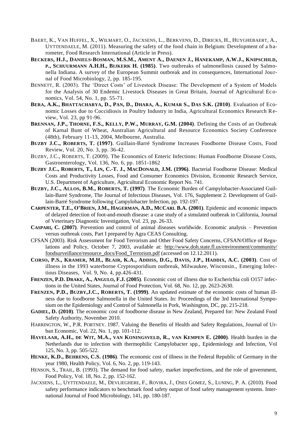- BAERT, K., VAN HUFFEL, X., WILMART, O., JACXSENS, L., BERKVENS, D., DIRICKS, H., HUYGHEBAERT, A., UYTTENDAELE, M. (2011). Measuring the safety of the food chain in Belgium: Development of a barometer, Food Research International (Article in Press).
- BECKERS, H.J., DANIELS-BOSMAN, M.S.M., AMENT A., DAENEN J., HANEKAMP, A.W.J., KNIPSCHILD, **P., SCHUURMANN A.H.H., BIJKERK H. (1985)**. Two outbreaks of salmonellosis caused by Salmonella Indiana. A survey of the European Summit outbreak and its consequences, International Journal of Food Microbiology, 2, pp. 185-195.
- BENNETT, R. (2003). The 'Direct Costs' of Livestock Disease: The Development of a System of Models for the Analysis of 30 Endemic Livestock Diseases in Great Britain, Journal of Agricultural Economics, Vol. 54, No. 1, pp. 55-71.
- BERA, A.K., BHATTACHARYA, D., PAN, D., DHARA, A., KUMAR S., DAS S.K. (2010). Evaluation of Economic Losses due to Coccidiosis in Poultry Industry in India, Agricultural Economics Research Review, Vol. 23, pp 91-96.
- **BRENNAN, J.P., THORNE, F.S., KELLY, P.W., MURRAY, G.M. (2004)**. Defining the Costs of an Outbreak of Karnal Bunt of Wheat, Australian Agricultural and Resource Economics Society Conference (48th), February 11-13, 2004, Melbourne, Australia.
- **BUZBY J.C., ROBERTS, T. (1997)**. Guillain-Barré Syndrome Increases Foodborne Disease Costs, Food Review, Vol. 20, No. 3, pp. 36-42.
- BUZBY, J.C., ROBERTS, T. (2009). The Economics of Enteric Infections: Human Foodborne Disease Costs, Gastroenterology, Vol. 136, No. 6, pp. 1851-1862
- BUZBY J.C., ROBERTS, T., LIN, C.-T. J., MACDONALD, J.M. (1996). Bacterial Foodborne Disease: Medical Costs and Productivity Losses, Food and Consumer Economics Division, Economic Research Service, U.S. Department of Agriculture, Agricultural Economic Report No. 741.
- **BUZBY, J.C., ALLOS, B.M., ROBERTS, T. (1997)**. The Economic Burden of Campylobacter-Associated Guillain-Barré Syndrome, The Journal of Infectious Diseases, Vol. 176, Supplement 2. Development of Guillain-Barré Syndrome following Campylobacter Infection, pp. 192-197.
- **CARPENTER, T.E., O'BRIEN, J.M., HAGERMAN, A.D., MCCARL B.A. (2001)**. Epidemic and economic impacts of delayed detection of foot-and-mouth disease: a case study of a simulated outbreak in California, Journal of Veterinary Diagnostic Investigation, Vol. 23, pp. 26-33.
- **CASPARI, C. (2007)**. Prevention and control of animal diseases worldwide. Economic analysis Prevention versus outbreak costs, Part I prepared by Agra CEAS Consulting.
- CFSAN (2003). Risk Assessment for Food Terrorism and Other Food Safety Concerns, CFSAN/Office of Regulations and Policy, October 7, 2003, available at: [http://www.doh.state.fl.us/environment/community/](http://www.doh.state.fl.us/environment/community/%20foodsurveillance/resource_docs/Food_Terrorism.pdf)  [foodsurveillance/resource\\_docs/Food\\_Terrorism.pdf](http://www.doh.state.fl.us/environment/community/%20foodsurveillance/resource_docs/Food_Terrorism.pdf) (accessed on 12.12.2011).
- C[ORSO](http://www.ncbi.nlm.nih.gov/pubmed?term=%22Corso%20PS%22%5BAuthor%5D), P.S., K[RAMER](http://www.ncbi.nlm.nih.gov/pubmed?term=%22Kramer%20MH%22%5BAuthor%5D), M.H., BLAIR, [K.A.](http://www.ncbi.nlm.nih.gov/pubmed?term=%22Blair%20KA%22%5BAuthor%5D), ADDISS, [D.G.](http://www.ncbi.nlm.nih.gov/pubmed?term=%22Addiss%20DG%22%5BAuthor%5D), DAVIS, [J.P.](http://www.ncbi.nlm.nih.gov/pubmed?term=%22Davis%20JP%22%5BAuthor%5D), H[ADDIX](http://www.ncbi.nlm.nih.gov/pubmed?term=%22Haddix%20AC%22%5BAuthor%5D), A.C. (2003). Cost of illness in the 1993 waterborne Cryptosporidium outbreak, Milwaukee, Wisconsin., [Emerging Infec](http://wwwnc.cdc.gov/eid/)[tious Diseases,](http://wwwnc.cdc.gov/eid/) Vol. 9, No. 4, pp.426-431.
- **FRENZEN, P.D. DRAKE, A., ANGULO, F.J. (2005)**. Economic cost of illness due to Escherichia coli O157 infections in the United States, Journal of Food Protection, Vol. 68, No. 12, pp. 2623-2630.
- **FRENZEN, P.D., BUZBY,J.C., ROBERTS, T. (1999)**. An updated estimate of the economic costs of human illness due to foodborne Salmonella in the United States. In: Proceedings of the 3rd International Symposium on the Epidemiology and Control of Salmonella in Pork, Washington, DC, pp. 215-218.
- **GADIEL, D. (2010)**. The economic cost of foodborne disease in New Zealand, Prepared for: New Zealand Food Safety Authority, November 2010.
- HARRINGTON, W., P.R. PORTNEY. 1987. Valuing the Benefits of Health and Safety Regulations, Journal of Urban Economic, Vol. 22, No. 1, pp. 101-112.
- H[AVELAAR](http://www.ncbi.nlm.nih.gov/pubmed?term=%22Havelaar%20AH%22%5BAuthor%5D), A.H., DE WIT, [M.A.](http://www.ncbi.nlm.nih.gov/pubmed?term=%22de%20Wit%20MA%22%5BAuthor%5D), VAN K[ONINGSVELD](http://www.ncbi.nlm.nih.gov/pubmed?term=%22van%20Koningsveld%20R%22%5BAuthor%5D), R., VAN K[EMPEN](http://www.ncbi.nlm.nih.gov/pubmed?term=%22van%20Kempen%20E%22%5BAuthor%5D) E. (2000). Health burden in the Netherlands due to infection with thermophilic Campylobacter spp., Epidemiology and Infection, Vol 125, No. 3, pp. 505-522.
- **HENKE, [K.D.](http://www.ncbi.nlm.nih.gov/pubmed?term=%22Henke%20KD%22%5BAuthor%5D), B[EHRENS](http://www.ncbi.nlm.nih.gov/pubmed?term=%22Behrens%20CS%22%5BAuthor%5D), C.S. (1986)**. The economic cost of illness in the Federal Republic of Germany in the year 1980, Health Policy, Vol. 6, No. 2, pp. 119-143.
- HENSON, S., TRAIL, B. (1993). The demand for food safety, market imperfections, and the role of government, Food Policy, Vol. 18, No. 2, pp. 152-162.
- JACXSENS, L., UYTTENDAELE, M., DEVLIEGHERE, F., ROVIRA, J., OSES GOMEZ, S., LUNING, P. A. (2010). Food safety performance indicators to benchmark food safety output of food safety management systems. International Journal of Food Microbiology, 141, pp. 180-187.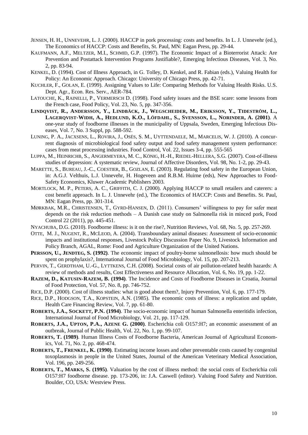- JENSEN, H. H., UNNEVEHR, L. J. (2000). HACCP in pork processing: costs and benefits. In L. J. Unnevehr (ed.), The Economics of HACCP: Costs and Benefits, St. Paul, MN: Eagan Press, pp. 29-44.
- KAUFMANN, A.F., MELTZER, M.I., SCHMID, G.P. (1997). The Economic Impact of a Bioterrorist Attack: Are Prevention and Postattack Intervention Programs Justifiable?, Emerging Infectious Diseases, Vol. 3, No. 2, pp. 83-94.
- KENKEL, D. (1994). Cost of Illness Approach, in G. Tolley, D. Kenkel, and R. Fabian (eds.), Valuing Health for Policy: An Economic Approach. Chicago: University of Chicago Press, pp. 42-71.
- KUCHLER, F., GOLAN, E. (1999). Assigning Values to Life: Comparing Methods for Valuing Health Risks. U.S. Dept. Agr., Econ. Res. Serv., AER-784.
- LATOUCHE, K., RAINELLI, P., VERMERSCH D. (1998). Food safety issues and the BSE scare: some lessons from the French case, Food Policy, Vol. 23, No. 5, pp. 347-356.
- LINDOVIST, R., ANDERSSON, Y., LINDBÄCK, J., WEGSCHEIDER, M., ERIKSSON, Y., TIDESTRÖM, L., LAGERQVIST-WIDH, A., HEDLUND, K.O., LÖFDAHL, S., SVENSSON, L., NORINDER, A. (2001). A one-year study of foodborne illnesses in the municipality of Uppsala, Sweden, Emerging Infectious Diseases, Vol. 7, No. 3 Suppl, pp. 588-592.
- LUNING, P. A., JACXSENS, L., ROVIRA, J., OSÉS, S. M., UYTTENDAELE, M., MARCELIS, W. J. (2010). A concurrent diagnosis of microbiological food safety output and food safety management system performance: cases from meat processing industries. Food Control, [Vol. 22, Issues 3-4,](http://www.sciencedirect.com/science?_ob=PublicationURL&_tockey=%23TOC%235038%232011%23999779996%232733749%23FLA%23&_cdi=5038&_pubType=J&view=c&_auth=y&_acct=C000073651&_version=1&_urlVersion=0&_userid=8151445&md5=366101b2da600485239fad8c01ff2118) pp. 555-565
- LUPPA, M., HEINRIC[HB](http://www.sciencedirect.com/science/article/pii/S0165032706003302#aff2), S., ANGERMEYE[RA](http://www.sciencedirect.com/science/article/pii/S0165032706003302#aff1), M. C., KÖNIG, H.-H., RIEDEL-HELLE[RA](http://www.sciencedirect.com/science/article/pii/S0165032706003302#aff1), S.G. (2007). Cost-of-illness studies of depression: A systematic review, Journal of Affective Disorders, Vol. 98, No. 1-2, pp. 29-43.
- MARETTE, S., BUREAU, J.-C., COESTIER, B., GOZLAN, E. (2003). Regulating food safety in the European Union, in: A.G.J. Velthuis, L.J. Unnevehr, H. Hogeveen and R.B.M. Huirne (eds), New Approaches to Food-Safety Economics, Kluwer Academic Publishers 2003.
- MORTLOCK, M. P., PETERS, A. C., GRIFFITH, C. J. (2000). Applying HACCP to small retailers and caterers: a cost benefit approach. In L. J. Unnevehr (ed.), The Economics of HACCP: Costs and Benefits. St. Paul, MN: Eagan Press, pp. 301-314.
- MØRKBAK, M.R., CHRISTENSEN, T., GYRD-HANSEN, D. (2011). Consumers' willingness to pay for safer meat depends on the risk reduction methods – A Danish case study on Salmonella risk in minced pork, Food Control 22 (2011), pp. 445-451.
- NYACHUBA, D.G. (2010). Foodborne illness: is it on the rise?, [Nutrition Reviews,](http://www.ingentaconnect.com/content/bpl/nure;jsessionid=139gefvspu77b.alexandra) Vol. 68, No. 5, pp. 257-269.
- OTTE, M. J., NUGENT, R., MCLEOD, A. (2004). Transboundary animal diseases: Assessment of socio-economic impacts and institutional responses, Livestock Policy Discussion Paper No. 9, Livestock Information and Policy Branch, AGAL, Rome: Food and Agriculture Organization of the United Nations.
- **PERSSON, U., JENDTEG, S. (1992)**. The economic impact of poultry-borne salmonellosis: how much should be spent on prophylaxis?, International Journal of Food Microbiology, Vol. 15, pp. 207-213.
- PERVIN, T., GERDTHAM, U.-G., LYTTKENS, C.H. (2008). Societal costs of air pollution-related health hazards: A review of methods and results, Cost Effectiveness and Resource Allocation, Vol. 6, No. 19, pp. 1-22.
- **RAZEM, D., KATUSIN-RAZEM, B. (1994)**. The Incidence and Costs of Foodborne Diseases in Croatia, Journal of Food Protection, Vol. 57, No. 8, pp. 746-752.
- RICE, D.P. (2000). Cost of illness studies: what is good about them?, Injury Prevention, Vol. 6, pp. 177-179.
- RICE, D.P., HODGSON, T.A., KOPSTEIN, A.N. (1985). The economic costs of illness: a replication and update, Health Care Financing Review, Vol. 7, pp. 61-80.
- **ROBERTS, J.A., SOCKETT, P.N. (1994)**. The socio-economic impact of human Salmonella enteritidis infection, International Journal of Food Microbiology, Vol. 21, pp. 117-129.
- **ROBERTS, [J.A.,](http://jpubhealth.oxfordjournals.org/content/22/1/99.abstract#aff-1) UPTON, P.A., AZENE G. (2000)**. Escherichia coli O157:H7; an economic assessment of an outbreak, Journal of Public Health, Vol. 22, No. 1, pp. 99-107.
- **ROBERTS, T. (1989)**. Human Illness Costs of Foodborne Bacteria, American Journal of Agricultural Economics, Vol. 71, No. 2, pp. 468-474.
- **ROBERTS, T., FRENKEL, K. (1990)**. Estimating income losses and other preventable costs caused by congenital toxoplasmosis in people in the United States, Journal of the American Veterinary Medical Association, Vol. 196, pp. 249-256.
- **ROBERTS, T., MARKS, S. (1995)**. Valuation by the cost of illness method: the social costs of Escherichia coli O157:H7 foodborne disease. pp. 173-206, in: J.A. Caswell (editor). Valuing Food Safety and Nutrition. Boulder, CO, USA: Westview Press.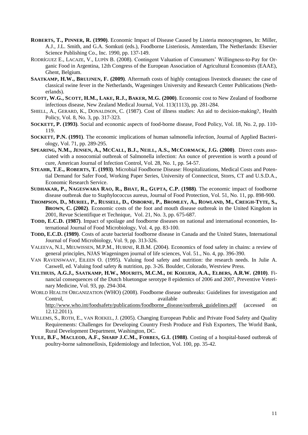- **ROBERTS, T., PINNER, R. (1990)**. Economic Impact of Disease Caused by Listeria monocytogenes, In: Miller, A.J., J.L. Smith, and G.A. Somkuti (eds.), Foodborne Listeriosis, Amsterdam, The Netherlands: Elsevier Science Publishing Co., Inc. 1990, pp. 137-149.
- RODRÍGUEZ E., LACAZE, V., LUPÍN B. (2008). Contingent Valuation of Consumers' Willingness-to-Pay for Organic Food in Argentina, 12th Congress of the European Association of Agricultural Economists (EAAE), Ghent, Belgium.
- **S[AATKAMP](http://en.scientificcommons.org/h_w_saatkamp), H.W., B[RUIJNEN](http://en.scientificcommons.org/f_bruijnen), F. (2009)**. Aftermath costs of highly contagious livestock diseases: the case of classical swine fever in the Netherlands, [Wageningen University and Research Center Publications \(Neth](http://en.scientificcommons.org/repository/wageningen_university_and_researchcenter_publications)[erlands\).](http://en.scientificcommons.org/repository/wageningen_university_and_researchcenter_publications)
- **SCOTT, W.G., SCOTT, H.M., LAKE, R.J., BAKER, M.G. (2000)**. Economic cost to New Zealand of foodborne infectious disease, New Zealand Medical Journal, Vol. 113(1113), pp. 281-284.
- SHIELL, A., GERARD, K., DONALDSON, C. (1987). Cost of illness studies: An aid to decision-making?, Health Policy, Vol. 8, No. 3, pp. 317-323.
- **SOCKETT, P. (1993)**. Social and economic aspects of food-borne disease, Food Policy, Vol. 18, No. 2, pp. 110- 119.
- **SOCKETT, P.N. (1991)**. The economic implications of human salmonella infection, Journal of Applied Bacteriology, Vol. 71, pp. 289-295.
- SPEARING, N.M., JENSEN, A., MCCALL, B.J., NEILL, A.S., MCCORMACK, J.G. (2000). Direct costs associated with a nosocomial outbreak of Salmonella infection: An ounce of prevention is worth a pound of cure, American Journal of Infection Control, Vol. 28, No. 1, pp. 54-57.
- **STEAHR, T.E., ROBERTS, T. (1993)**. Microbial Foodborne Disease: Hospitalizations, Medical Costs and Potential Demand for Safer Food, Working Paper Series, University of Connecticut, Storrs, CT and U.S.D.A., Economic Research Service.
- SUDHAKAR, P., NAGESWARA RAO, R., BHAT, R., GUPTA, C.P. (1988). The economic impact of foodborne disease outbreak due to Staphylococcus aureus, Journal of Food Protection, Vol. 51, No. 11, pp. 898-900.
- T[HOMPSON](http://www.ncbi.nlm.nih.gov/pubmed?term=%22Thompson%20D%22%5BAuthor%5D), D., M[URIEL](http://www.ncbi.nlm.nih.gov/pubmed?term=%22Muriel%20P%22%5BAuthor%5D), P., R[USSELL](http://www.ncbi.nlm.nih.gov/pubmed?term=%22Russell%20D%22%5BAuthor%5D), D., O[SBORNE](http://www.ncbi.nlm.nih.gov/pubmed?term=%22Osborne%20P%22%5BAuthor%5D), P., B[ROMLEY](http://www.ncbi.nlm.nih.gov/pubmed?term=%22Bromley%20A%22%5BAuthor%5D), A., R[OWLAND](http://www.ncbi.nlm.nih.gov/pubmed?term=%22Rowland%20M%22%5BAuthor%5D), M., C[REIGH](http://www.ncbi.nlm.nih.gov/pubmed?term=%22Creigh-Tyte%20S%22%5BAuthor%5D)-TYTE, S., **B[ROWN](http://www.ncbi.nlm.nih.gov/pubmed?term=%22Brown%20C%22%5BAuthor%5D), C. (2002)**. Economic costs of the foot and mouth disease outbreak in the United Kingdom in 2001, Revue Scientifique et Technique, Vol. 21, No. 3, pp. 675-687.
- **TODD, E.C.D. (1987)**. Impact of spoilage and foodborne diseases on national and international economies, International Journal of Food Microbiology, Vol. 4, pp. 83-100.
- **TODD, E.C.D. (1989)**. Costs of acute bacterial foodborne disease in Canada and the United States, International Journal of Food Microbiology, Vol. 9, pp. 313-326.
- VALEEVA, N.I., MEUWISSEN, M.P.M., HUIRNE, R.B.M. (2004). Economics of food safety in chains: a review of general principles, NJAS Wageningen journal of life sciences, Vol. 51., No. 4, pp. 396-390.
- VAN RAVENSWAAY, EILEEN O. (1995). Valuing food safety and nutrition: the research needs. In Julie A. Caswell, ed. Valuing food safety & nutrition, pp. 3-26. Boulder, Colorado, Westview Press.
- VELTHUIS, A.G.J., SAATKAMP, H.W., MOURITS, M.C.M., DE KOELJER, A.A., ELBERS, A.R.W. (2010). Financial consequences of the Dutch bluetongue serotype 8 epidemics of 2006 and 2007, Preventive Veterinary Medicine, Vol. 93, pp. 294-304.
- WORLD HEALTH ORGANIZATION (WHO) (2008). Foodborne disease outbreaks: Guidelines for investigation and Control, available at: available at: [http://www.who.int/foodsafety/publications/foodborne\\_disease/outbreak\\_guidelines.pdf](http://www.who.int/foodsafety/publications/foodborne_disease/outbreak_guidelines.pdf) (accessed on
- 12.12.2011). WILLEMS, S., ROTH, E., VAN ROEKEL, J. (2005). Changing European Public and Private Food Safety and Quality
- Requirements: Challenges for Developing Country Fresh Produce and Fish Exporters, The World Bank, Rural Development Department, Washington, DC.
- **YULE, B.F., MACLEOD, A.F., SHARP J.C.M., FORBES, G.I. (1988)**. Costing of a hospital-based outbreak of poultry-borne salmonellosis, Epidemiology and Infection, Vol. 100, pp. 35-42.